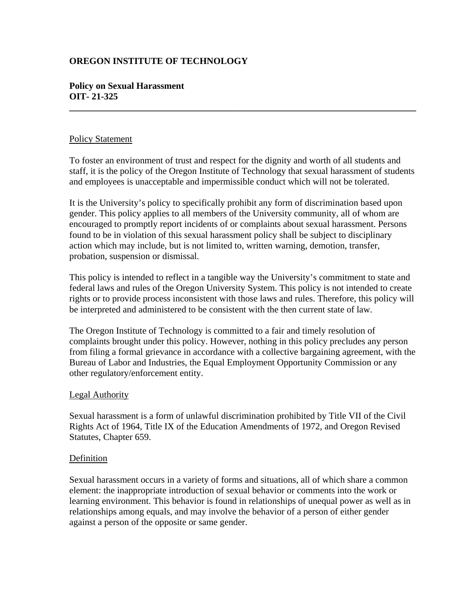# **OREGON INSTITUTE OF TECHNOLOGY**

# **Policy on Sexual Harassment OIT- 21-325**

# Policy Statement

To foster an environment of trust and respect for the dignity and worth of all students and staff, it is the policy of the Oregon Institute of Technology that sexual harassment of students and employees is unacceptable and impermissible conduct which will not be tolerated.

**\_\_\_\_\_\_\_\_\_\_\_\_\_\_\_\_\_\_\_\_\_\_\_\_\_\_\_\_\_\_\_\_\_\_\_\_\_\_\_\_\_\_\_\_\_\_\_\_\_\_\_\_\_\_\_\_\_\_\_\_\_\_\_\_\_\_\_\_\_\_\_\_\_\_\_** 

It is the University's policy to specifically prohibit any form of discrimination based upon gender. This policy applies to all members of the University community, all of whom are encouraged to promptly report incidents of or complaints about sexual harassment. Persons found to be in violation of this sexual harassment policy shall be subject to disciplinary action which may include, but is not limited to, written warning, demotion, transfer, probation, suspension or dismissal.

This policy is intended to reflect in a tangible way the University's commitment to state and federal laws and rules of the Oregon University System. This policy is not intended to create rights or to provide process inconsistent with those laws and rules. Therefore, this policy will be interpreted and administered to be consistent with the then current state of law.

The Oregon Institute of Technology is committed to a fair and timely resolution of complaints brought under this policy. However, nothing in this policy precludes any person from filing a formal grievance in accordance with a collective bargaining agreement, with the Bureau of Labor and Industries, the Equal Employment Opportunity Commission or any other regulatory/enforcement entity.

# Legal Authority

Sexual harassment is a form of unlawful discrimination prohibited by Title VII of the Civil Rights Act of 1964, Title IX of the Education Amendments of 1972, and Oregon Revised Statutes, Chapter 659.

### Definition

Sexual harassment occurs in a variety of forms and situations, all of which share a common element: the inappropriate introduction of sexual behavior or comments into the work or learning environment. This behavior is found in relationships of unequal power as well as in relationships among equals, and may involve the behavior of a person of either gender against a person of the opposite or same gender.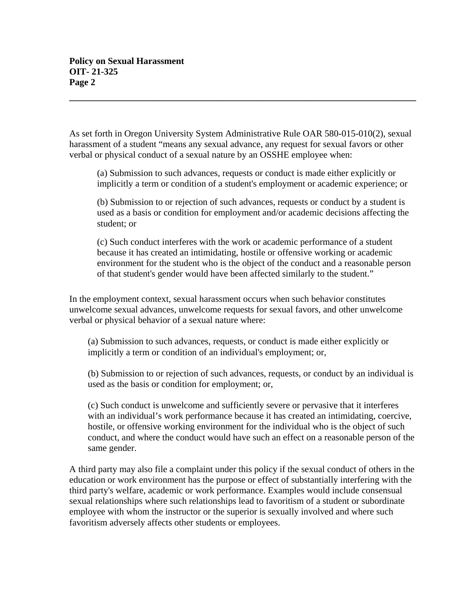As set forth in Oregon University System Administrative Rule OAR 580-015-010(2), sexual harassment of a student "means any sexual advance, any request for sexual favors or other verbal or physical conduct of a sexual nature by an OSSHE employee when:

**\_\_\_\_\_\_\_\_\_\_\_\_\_\_\_\_\_\_\_\_\_\_\_\_\_\_\_\_\_\_\_\_\_\_\_\_\_\_\_\_\_\_\_\_\_\_\_\_\_\_\_\_\_\_\_\_\_\_\_\_\_\_\_\_\_\_\_\_\_\_\_\_\_\_\_** 

(a) Submission to such advances, requests or conduct is made either explicitly or implicitly a term or condition of a student's employment or academic experience; or

(b) Submission to or rejection of such advances, requests or conduct by a student is used as a basis or condition for employment and/or academic decisions affecting the student; or

(c) Such conduct interferes with the work or academic performance of a student because it has created an intimidating, hostile or offensive working or academic environment for the student who is the object of the conduct and a reasonable person of that student's gender would have been affected similarly to the student."

In the employment context, sexual harassment occurs when such behavior constitutes unwelcome sexual advances, unwelcome requests for sexual favors, and other unwelcome verbal or physical behavior of a sexual nature where:

(a) Submission to such advances, requests, or conduct is made either explicitly or implicitly a term or condition of an individual's employment; or,

(b) Submission to or rejection of such advances, requests, or conduct by an individual is used as the basis or condition for employment; or,

(c) Such conduct is unwelcome and sufficiently severe or pervasive that it interferes with an individual's work performance because it has created an intimidating, coercive, hostile, or offensive working environment for the individual who is the object of such conduct, and where the conduct would have such an effect on a reasonable person of the same gender.

A third party may also file a complaint under this policy if the sexual conduct of others in the education or work environment has the purpose or effect of substantially interfering with the third party's welfare, academic or work performance. Examples would include consensual sexual relationships where such relationships lead to favoritism of a student or subordinate employee with whom the instructor or the superior is sexually involved and where such favoritism adversely affects other students or employees.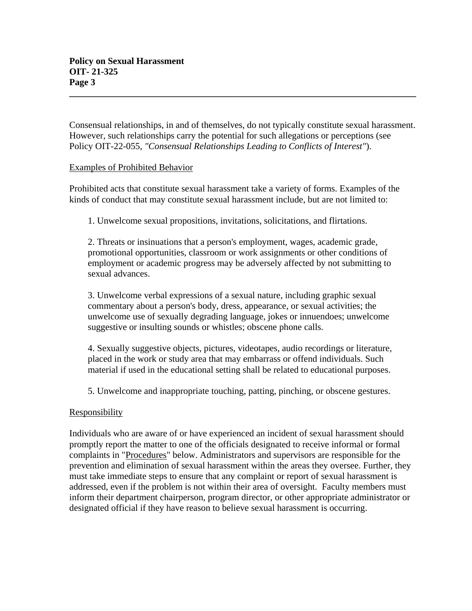Consensual relationships, in and of themselves, do not typically constitute sexual harassment. However, such relationships carry the potential for such allegations or perceptions (see Policy OIT-22-055, *"Consensual Relationships Leading to Conflicts of Interest"*).

**\_\_\_\_\_\_\_\_\_\_\_\_\_\_\_\_\_\_\_\_\_\_\_\_\_\_\_\_\_\_\_\_\_\_\_\_\_\_\_\_\_\_\_\_\_\_\_\_\_\_\_\_\_\_\_\_\_\_\_\_\_\_\_\_\_\_\_\_\_\_\_\_\_\_\_**

# Examples of Prohibited Behavior

Prohibited acts that constitute sexual harassment take a variety of forms. Examples of the kinds of conduct that may constitute sexual harassment include, but are not limited to:

1. Unwelcome sexual propositions, invitations, solicitations, and flirtations.

2. Threats or insinuations that a person's employment, wages, academic grade, promotional opportunities, classroom or work assignments or other conditions of employment or academic progress may be adversely affected by not submitting to sexual advances.

3. Unwelcome verbal expressions of a sexual nature, including graphic sexual commentary about a person's body, dress, appearance, or sexual activities; the unwelcome use of sexually degrading language, jokes or innuendoes; unwelcome suggestive or insulting sounds or whistles; obscene phone calls.

4. Sexually suggestive objects, pictures, videotapes, audio recordings or literature, placed in the work or study area that may embarrass or offend individuals. Such material if used in the educational setting shall be related to educational purposes.

5. Unwelcome and inappropriate touching, patting, pinching, or obscene gestures.

# Responsibility

Individuals who are aware of or have experienced an incident of sexual harassment should promptly report the matter to one of the officials designated to receive informal or formal complaints in "Procedures" below. Administrators and supervisors are responsible for the prevention and elimination of sexual harassment within the areas they oversee. Further, they must take immediate steps to ensure that any complaint or report of sexual harassment is addressed, even if the problem is not within their area of oversight. Faculty members must inform their department chairperson, program director, or other appropriate administrator or designated official if they have reason to believe sexual harassment is occurring.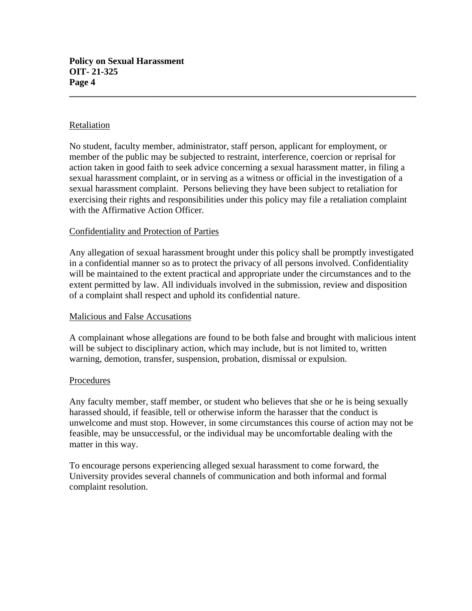# Retaliation

No student, faculty member, administrator, staff person, applicant for employment, or member of the public may be subjected to restraint, interference, coercion or reprisal for action taken in good faith to seek advice concerning a sexual harassment matter, in filing a sexual harassment complaint, or in serving as a witness or official in the investigation of a sexual harassment complaint. Persons believing they have been subject to retaliation for exercising their rights and responsibilities under this policy may file a retaliation complaint with the Affirmative Action Officer*.*

**\_\_\_\_\_\_\_\_\_\_\_\_\_\_\_\_\_\_\_\_\_\_\_\_\_\_\_\_\_\_\_\_\_\_\_\_\_\_\_\_\_\_\_\_\_\_\_\_\_\_\_\_\_\_\_\_\_\_\_\_\_\_\_\_\_\_\_\_\_\_\_\_\_\_\_**

# Confidentiality and Protection of Parties

Any allegation of sexual harassment brought under this policy shall be promptly investigated in a confidential manner so as to protect the privacy of all persons involved. Confidentiality will be maintained to the extent practical and appropriate under the circumstances and to the extent permitted by law. All individuals involved in the submission, review and disposition of a complaint shall respect and uphold its confidential nature.

# Malicious and False Accusations

A complainant whose allegations are found to be both false and brought with malicious intent will be subject to disciplinary action, which may include, but is not limited to, written warning, demotion, transfer, suspension, probation, dismissal or expulsion.

### Procedures

Any faculty member, staff member, or student who believes that she or he is being sexually harassed should, if feasible, tell or otherwise inform the harasser that the conduct is unwelcome and must stop. However, in some circumstances this course of action may not be feasible, may be unsuccessful, or the individual may be uncomfortable dealing with the matter in this way.

To encourage persons experiencing alleged sexual harassment to come forward, the University provides several channels of communication and both informal and formal complaint resolution.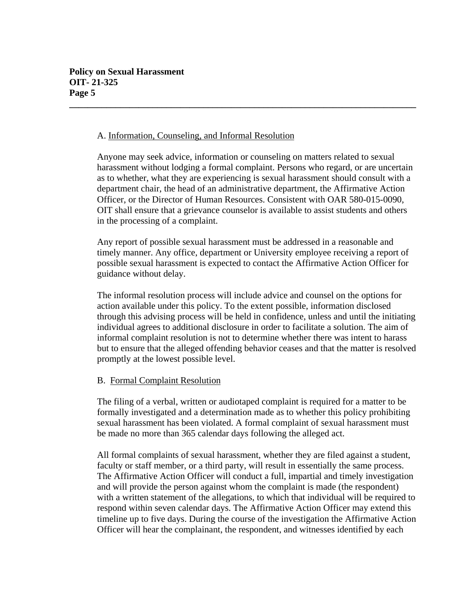### A. Information, Counseling, and Informal Resolution

Anyone may seek advice, information or counseling on matters related to sexual harassment without lodging a formal complaint. Persons who regard, or are uncertain as to whether, what they are experiencing is sexual harassment should consult with a department chair, the head of an administrative department, the Affirmative Action Officer, or the Director of Human Resources. Consistent with OAR 580-015-0090, OIT shall ensure that a grievance counselor is available to assist students and others in the processing of a complaint.

**\_\_\_\_\_\_\_\_\_\_\_\_\_\_\_\_\_\_\_\_\_\_\_\_\_\_\_\_\_\_\_\_\_\_\_\_\_\_\_\_\_\_\_\_\_\_\_\_\_\_\_\_\_\_\_\_\_\_\_\_\_\_\_\_\_\_\_\_\_\_\_\_\_\_\_**

Any report of possible sexual harassment must be addressed in a reasonable and timely manner. Any office, department or University employee receiving a report of possible sexual harassment is expected to contact the Affirmative Action Officer for guidance without delay.

The informal resolution process will include advice and counsel on the options for action available under this policy. To the extent possible, information disclosed through this advising process will be held in confidence, unless and until the initiating individual agrees to additional disclosure in order to facilitate a solution. The aim of informal complaint resolution is not to determine whether there was intent to harass but to ensure that the alleged offending behavior ceases and that the matter is resolved promptly at the lowest possible level.

# B. Formal Complaint Resolution

The filing of a verbal, written or audiotaped complaint is required for a matter to be formally investigated and a determination made as to whether this policy prohibiting sexual harassment has been violated. A formal complaint of sexual harassment must be made no more than 365 calendar days following the alleged act.

All formal complaints of sexual harassment, whether they are filed against a student, faculty or staff member, or a third party, will result in essentially the same process. The Affirmative Action Officer will conduct a full, impartial and timely investigation and will provide the person against whom the complaint is made (the respondent) with a written statement of the allegations, to which that individual will be required to respond within seven calendar days. The Affirmative Action Officer may extend this timeline up to five days. During the course of the investigation the Affirmative Action Officer will hear the complainant, the respondent, and witnesses identified by each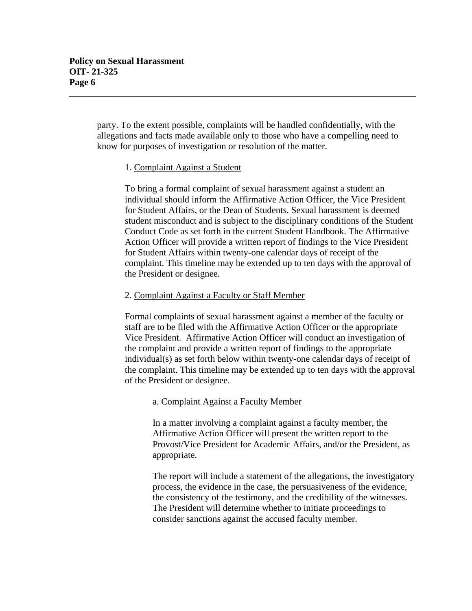party. To the extent possible, complaints will be handled confidentially, with the allegations and facts made available only to those who have a compelling need to know for purposes of investigation or resolution of the matter.

**\_\_\_\_\_\_\_\_\_\_\_\_\_\_\_\_\_\_\_\_\_\_\_\_\_\_\_\_\_\_\_\_\_\_\_\_\_\_\_\_\_\_\_\_\_\_\_\_\_\_\_\_\_\_\_\_\_\_\_\_\_\_\_\_\_\_\_\_\_\_\_\_\_\_\_**

# 1. Complaint Against a Student

To bring a formal complaint of sexual harassment against a student an individual should inform the Affirmative Action Officer, the Vice President for Student Affairs, or the Dean of Students. Sexual harassment is deemed student misconduct and is subject to the disciplinary conditions of the Student Conduct Code as set forth in the current Student Handbook. The Affirmative Action Officer will provide a written report of findings to the Vice President for Student Affairs within twenty-one calendar days of receipt of the complaint. This timeline may be extended up to ten days with the approval of the President or designee.

### 2. Complaint Against a Faculty or Staff Member

Formal complaints of sexual harassment against a member of the faculty or staff are to be filed with the Affirmative Action Officer or the appropriate Vice President. Affirmative Action Officer will conduct an investigation of the complaint and provide a written report of findings to the appropriate individual(s) as set forth below within twenty-one calendar days of receipt of the complaint. This timeline may be extended up to ten days with the approval of the President or designee.

### a. Complaint Against a Faculty Member

In a matter involving a complaint against a faculty member, the Affirmative Action Officer will present the written report to the Provost/Vice President for Academic Affairs, and/or the President, as appropriate.

The report will include a statement of the allegations, the investigatory process, the evidence in the case, the persuasiveness of the evidence, the consistency of the testimony, and the credibility of the witnesses. The President will determine whether to initiate proceedings to consider sanctions against the accused faculty member.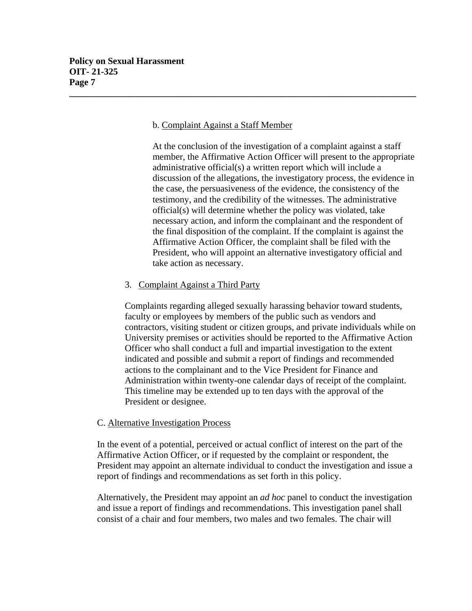# b. Complaint Against a Staff Member

**\_\_\_\_\_\_\_\_\_\_\_\_\_\_\_\_\_\_\_\_\_\_\_\_\_\_\_\_\_\_\_\_\_\_\_\_\_\_\_\_\_\_\_\_\_\_\_\_\_\_\_\_\_\_\_\_\_\_\_\_\_\_\_\_\_\_\_\_\_\_\_\_\_\_\_**

At the conclusion of the investigation of a complaint against a staff member, the Affirmative Action Officer will present to the appropriate administrative official(s) a written report which will include a discussion of the allegations, the investigatory process, the evidence in the case, the persuasiveness of the evidence, the consistency of the testimony, and the credibility of the witnesses. The administrative official(s) will determine whether the policy was violated, take necessary action, and inform the complainant and the respondent of the final disposition of the complaint. If the complaint is against the Affirmative Action Officer*,* the complaint shall be filed with the President, who will appoint an alternative investigatory official and take action as necessary.

# 3. Complaint Against a Third Party

Complaints regarding alleged sexually harassing behavior toward students, faculty or employees by members of the public such as vendors and contractors, visiting student or citizen groups, and private individuals while on University premises or activities should be reported to the Affirmative Action Officer who shall conduct a full and impartial investigation to the extent indicated and possible and submit a report of findings and recommended actions to the complainant and to the Vice President for Finance and Administration within twenty-one calendar days of receipt of the complaint. This timeline may be extended up to ten days with the approval of the President or designee.

# C. Alternative Investigation Process

In the event of a potential, perceived or actual conflict of interest on the part of the Affirmative Action Officer, or if requested by the complaint or respondent, the President may appoint an alternate individual to conduct the investigation and issue a report of findings and recommendations as set forth in this policy.

Alternatively, the President may appoint an *ad hoc* panel to conduct the investigation and issue a report of findings and recommendations. This investigation panel shall consist of a chair and four members, two males and two females. The chair will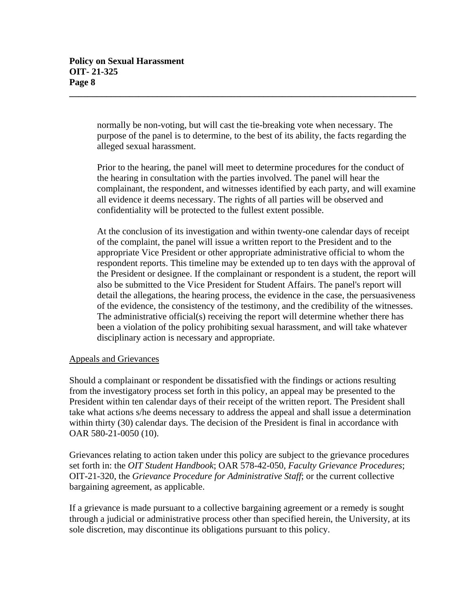normally be non-voting, but will cast the tie-breaking vote when necessary. The purpose of the panel is to determine, to the best of its ability, the facts regarding the alleged sexual harassment.

**\_\_\_\_\_\_\_\_\_\_\_\_\_\_\_\_\_\_\_\_\_\_\_\_\_\_\_\_\_\_\_\_\_\_\_\_\_\_\_\_\_\_\_\_\_\_\_\_\_\_\_\_\_\_\_\_\_\_\_\_\_\_\_\_\_\_\_\_\_\_\_\_\_\_\_**

Prior to the hearing, the panel will meet to determine procedures for the conduct of the hearing in consultation with the parties involved. The panel will hear the complainant, the respondent, and witnesses identified by each party, and will examine all evidence it deems necessary. The rights of all parties will be observed and confidentiality will be protected to the fullest extent possible.

At the conclusion of its investigation and within twenty-one calendar days of receipt of the complaint, the panel will issue a written report to the President and to the appropriate Vice President or other appropriate administrative official to whom the respondent reports. This timeline may be extended up to ten days with the approval of the President or designee. If the complainant or respondent is a student, the report will also be submitted to the Vice President for Student Affairs. The panel's report will detail the allegations, the hearing process, the evidence in the case, the persuasiveness of the evidence, the consistency of the testimony, and the credibility of the witnesses. The administrative official(s) receiving the report will determine whether there has been a violation of the policy prohibiting sexual harassment, and will take whatever disciplinary action is necessary and appropriate.

# Appeals and Grievances

Should a complainant or respondent be dissatisfied with the findings or actions resulting from the investigatory process set forth in this policy, an appeal may be presented to the President within ten calendar days of their receipt of the written report. The President shall take what actions s/he deems necessary to address the appeal and shall issue a determination within thirty (30) calendar days. The decision of the President is final in accordance with OAR 580-21-0050 (10).

Grievances relating to action taken under this policy are subject to the grievance procedures set forth in: the *OIT Student Handbook*; OAR 578-42-050, *Faculty Grievance Procedures*; OIT-21-320, the *Grievance Procedure for Administrative Staff*; or the current collective bargaining agreement, as applicable.

If a grievance is made pursuant to a collective bargaining agreement or a remedy is sought through a judicial or administrative process other than specified herein, the University*,* at its sole discretion*,* may discontinue its obligations pursuant to this policy.